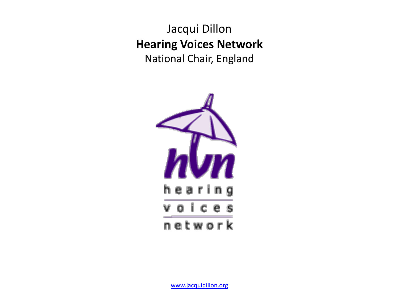Jacqui Dillon **Hearing Voices Network**  National Chair, England

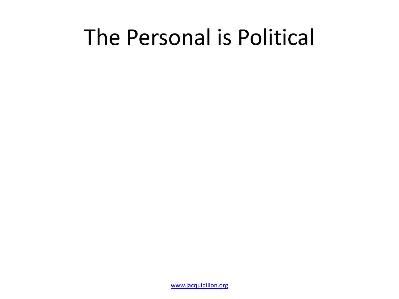## The Personal is Political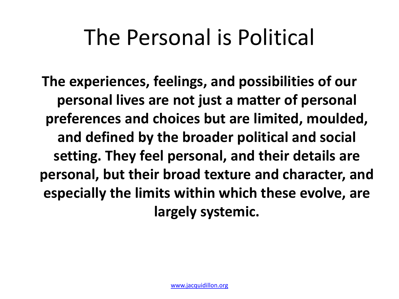# The Personal is Political

**The experiences, feelings, and possibilities of our personal lives are not just a matter of personal preferences and choices but are limited, moulded, and defined by the broader political and social setting. They feel personal, and their details are personal, but their broad texture and character, and especially the limits within which these evolve, are largely systemic.**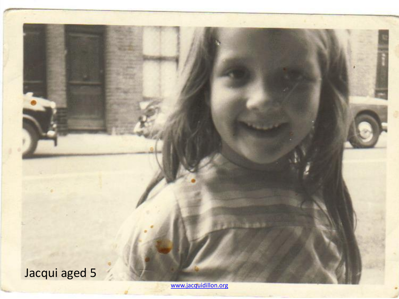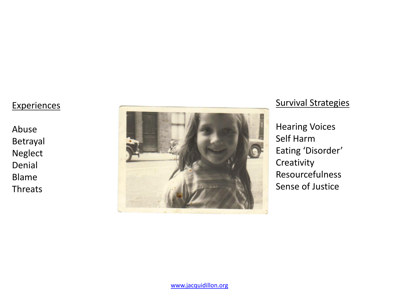### **Experiences**

Abuse Betrayal Neglect Denial Blame **Threats** 



### Survival Strategies

Hearing Voices Self Harm Eating 'Disorder' **Creativity** Resourcefulness Sense of Justice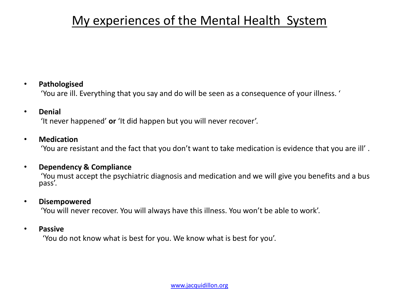### My experiences of the Mental Health System

### • **Pathologised**

'You are ill. Everything that you say and do will be seen as a consequence of your illness. '

#### • **Denial**

'It never happened' **or** 'It did happen but you will never recover'.

### • **Medication**

'You are resistant and the fact that you don't want to take medication is evidence that you are ill' .

#### • **Dependency & Compliance**

 'You must accept the psychiatric diagnosis and medication and we will give you benefits and a bus pass'.

#### • **Disempowered**

'You will never recover. You will always have this illness. You won't be able to work'.

#### • **Passive**

'You do not know what is best for you. We know what is best for you'.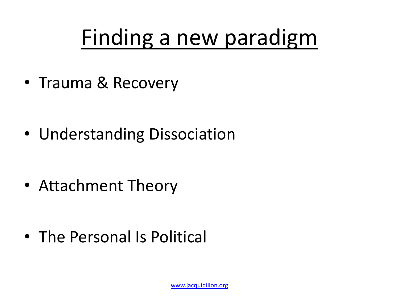# Finding a new paradigm

• Trauma & Recovery

• Understanding Dissociation

• Attachment Theory

• The Personal Is Political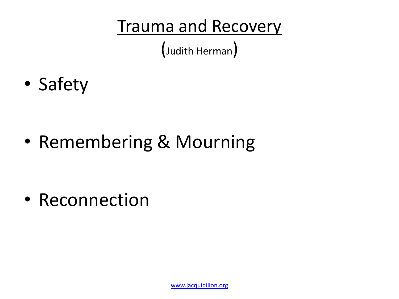(Judith Herman)

• Safety

• Remembering & Mourning

• Reconnection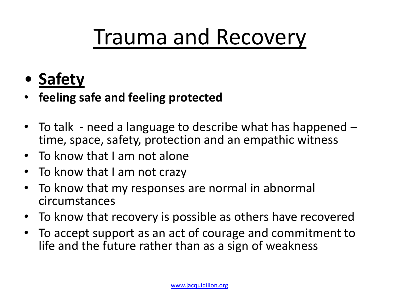- **Safety**
- **feeling safe and feeling protected**
- To talk need a language to describe what has happened time, space, safety, protection and an empathic witness
- To know that I am not alone
- To know that I am not crazy
- To know that my responses are normal in abnormal circumstances
- To know that recovery is possible as others have recovered
- To accept support as an act of courage and commitment to life and the future rather than as a sign of weakness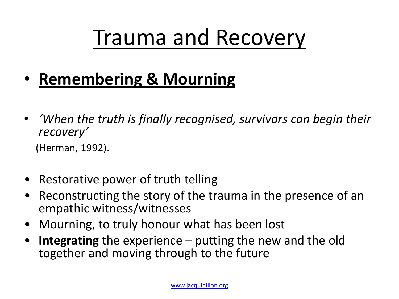- **Remembering & Mourning**
- *'When the truth is finally recognised, survivors can begin their recovery'*

(Herman, 1992).

- Restorative power of truth telling
- Reconstructing the story of the trauma in the presence of an empathic witness/witnesses
- Mourning, to truly honour what has been lost
- **Integrating** the experience putting the new and the old together and moving through to the future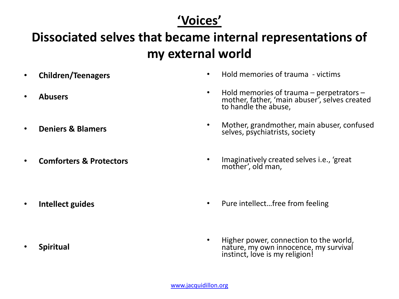### **'Voices'**

### **Dissociated selves that became internal representations of my external world**

- **Children/Teenagers**
- **Abusers**
- **Deniers & Blamers**

• **Intellect guides**

• **Comforters & Protectors**

- Hold memories of trauma victims
- Hold memories of trauma perpetrators mother, father, 'main abuser', selves created to handle the abuse,
- Mother, grandmother, main abuser, confused selves, psychiatrists, society
- Imaginatively created selves i.e., 'great mother', old man,
- Pure intellect...free from feeling
	- Higher power, connection to the world, nature, my own innocence, my survival instinct, love is my religion!

• **Spiritual**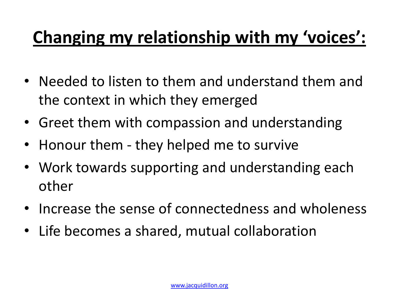## **Changing my relationship with my 'voices':**

- Needed to listen to them and understand them and the context in which they emerged
- Greet them with compassion and understanding
- Honour them they helped me to survive
- Work towards supporting and understanding each other
- Increase the sense of connectedness and wholeness
- Life becomes a shared, mutual collaboration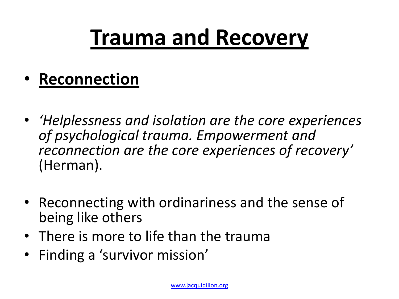- **Reconnection**
- *'Helplessness and isolation are the core experiences of psychological trauma. Empowerment and reconnection are the core experiences of recovery'* (Herman).
- Reconnecting with ordinariness and the sense of being like others
- There is more to life than the trauma
- Finding a 'survivor mission'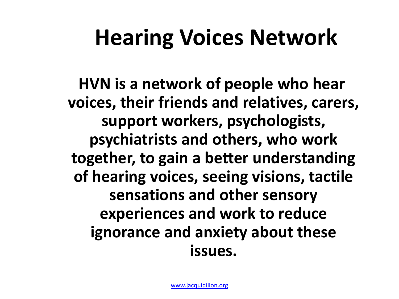# **Hearing Voices Network**

 **HVN is a network of people who hear voices, their friends and relatives, carers, support workers, psychologists, psychiatrists and others, who work together, to gain a better understanding of hearing voices, seeing visions, tactile sensations and other sensory experiences and work to reduce ignorance and anxiety about these issues.**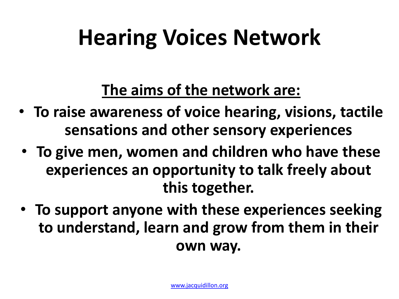# **Hearing Voices Network**

**The aims of the network are:**

- **To raise awareness of voice hearing, visions, tactile sensations and other sensory experiences**
- **To give men, women and children who have these experiences an opportunity to talk freely about this together.**
- **To support anyone with these experiences seeking to understand, learn and grow from them in their own way.**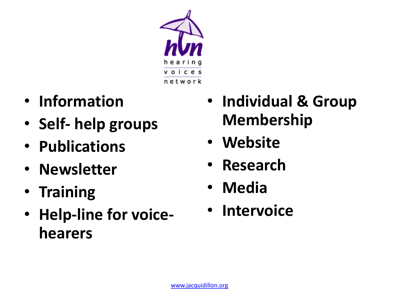

- **Information**
- **Self- help groups**
- **Publications**
- **Newsletter**
- **Training**
- **Help-line for voicehearers**
- **Individual & Group Membership**
- **Website**
- **Research**
- **Media**
- **Intervoice**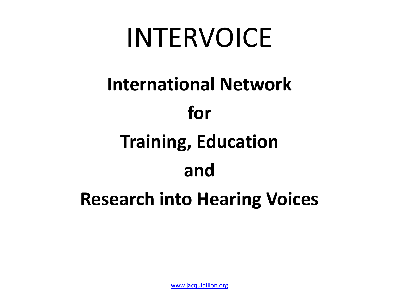# INTERVOICE

# **International Network**

## **for**

# **Training, Education**

## **and**

## **Research into Hearing Voices**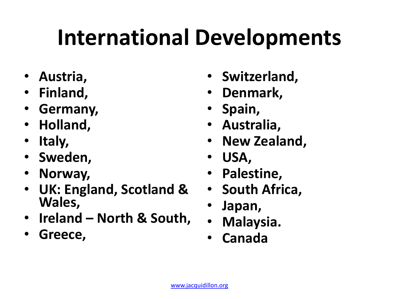# **International Developments**

- **Austria,**
- **Finland,**
- **Germany,**
- **Holland,**
- **Italy,**
- **Sweden,**
- **Norway,**
- **UK: England, Scotland & Wales,**
- **Ireland – North & South,**
- **Greece,**
- **Switzerland,**
- **Denmark,**
- **Spain,**
- **Australia,**
- **New Zealand,**
- **USA,**
- **Palestine,**
- **South Africa,**
- **Japan,**
- **Malaysia.**
- **Canada**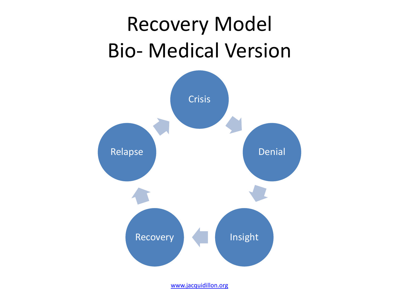# Recovery Model Bio- Medical Version

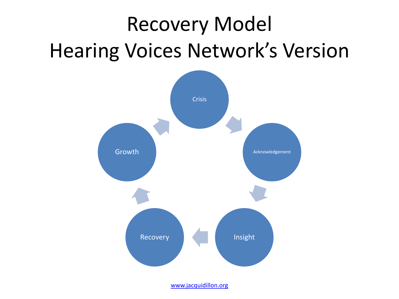# Recovery Model Hearing Voices Network's Version

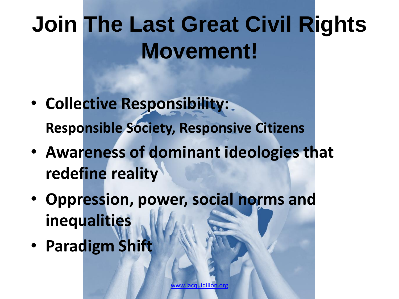# **Join The Last Great Civil Rights Movement!**

- **Collective Responsibility: Responsible Society, Responsive Citizens**
- **Awareness of dominant ideologies that redefine reality**
- **Oppression, power, social norms and inequalities**
- **Paradigm Shift**